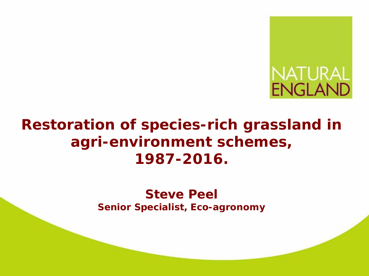

# **Restoration of species-rich grassland in agri-environment schemes, 1987-2016.**

**Steve Peel Senior Specialist, Eco-agronomy**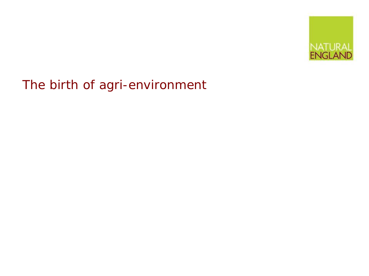

The birth of agri-environment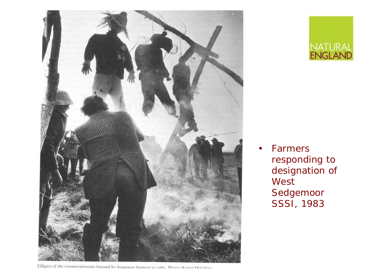



**Farmers** responding to designation of West Sedgemoor SSSI, 1983

Effigies of the conservationists burned by Somerset farmers in 1981. Photo: Roger Hurchine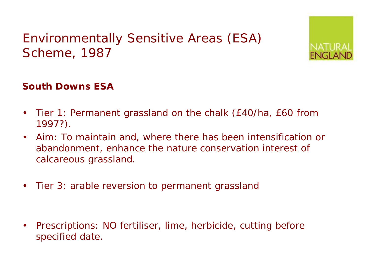# Environmentally Sensitive Areas (ESA) Scheme, 1987



#### **South Downs ESA**

- Tier 1: Permanent grassland on the chalk (£40/ha, £60 from 1997?).
- Aim: To maintain and, where there has been intensification or abandonment, *enhance* the nature conservation interest of calcareous grassland.
- Tier 3: arable reversion to permanent grassland

• Prescriptions: NO fertiliser, lime, herbicide, cutting before specified date.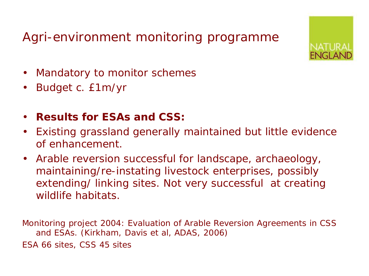# Agri-environment monitoring programme



- Mandatory to monitor schemes
- Budget c. £1m/yr
- **Results for ESAs and CSS:**
- Existing grassland generally maintained but little evidence of enhancement.
- Arable reversion successful for landscape, archaeology, maintaining/re-instating livestock enterprises, possibly extending/ linking sites. Not very successful at creating wildlife habitats.

Monitoring project 2004: Evaluation of Arable Reversion Agreements in CSS and ESAs. (Kirkham, Davis et al, ADAS, 2006) ESA 66 sites, CSS 45 sites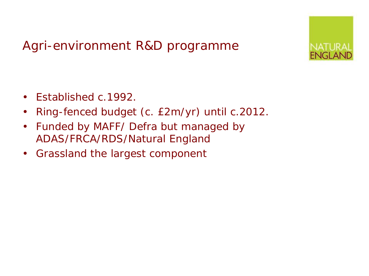## Agri-environment R&D programme



- Established c.1992.
- Ring-fenced budget (c. £2m/yr) until c.2012.
- Funded by MAFF/ Defra but managed by ADAS/FRCA/RDS/Natural England
- Grassland the largest component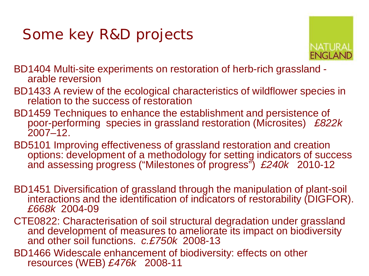# Some key R&D projects



BD1404 Multi-site experiments on restoration of herb-rich grassland - arable reversion

- BD1433 A review of the ecological characteristics of wildflower species in relation to the success of restoration
- BD1459 Techniques to enhance the establishment and persistence of poor-performing species in grassland restoration (Microsites) *£822k* 2007–12.
- BD5101 Improving effectiveness of grassland restoration and creation options: development of a methodology for setting indicators of success and assessing progress ("Milestones of progress") *£240k* 2010-12
- BD1451 Diversification of grassland through the manipulation of plant-soil interactions and the identification of indicators of restorability (DIGFOR). *£668k* 2004-09
- CTE0822: Characterisation of soil structural degradation under grassland and development of measures to ameliorate its impact on biodiversity and other soil functions. *c.£750k* 2008-13
- BD1466 Widescale enhancement of biodiversity: effects on other resources (WEB) *£476k* 2008-11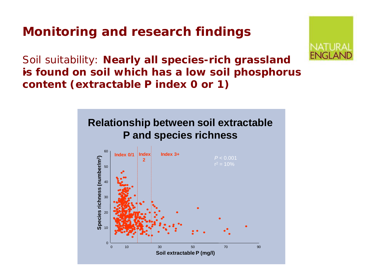# **Monitoring and research findings**



Soil suitability: *Nearly all species-rich grassland*  is found on soil which has a low soil phosphorus *content (extractable P index 0 or 1)* 

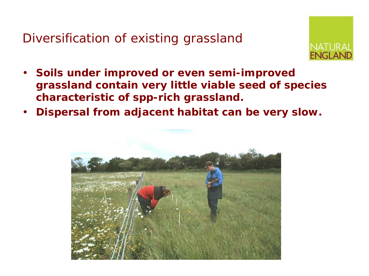Diversification of existing grassland



- *Soils under improved or even semi-improved grassland contain very little viable seed of species characteristic of spp-rich grassland.*
- *Dispersal from adjacent habitat can be very slow.*

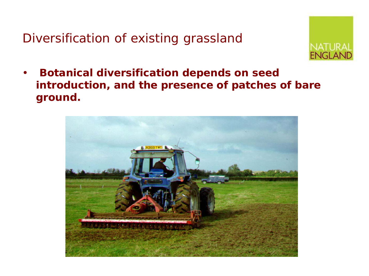Diversification of existing grassland



• *Botanical diversification depends on seed introduction, and the presence of patches of bare ground.*

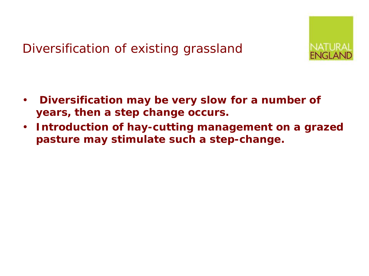# Diversification of existing grassland



- *Diversification may be very slow for a number of years, then a step change occurs.*
- *Introduction of hay-cutting management on a grazed pasture may stimulate such a step-change.*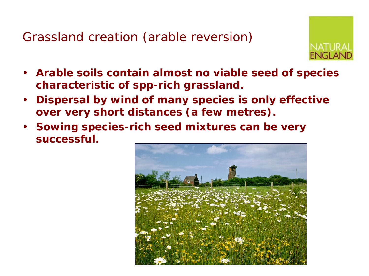Grassland creation (arable reversion)



- *Arable soils contain almost no viable seed of species characteristic of spp-rich grassland.*
- *Dispersal by wind of many species is only effective over very short distances (a few metres).*
- *Sowing species-rich seed mixtures can be very successful.*

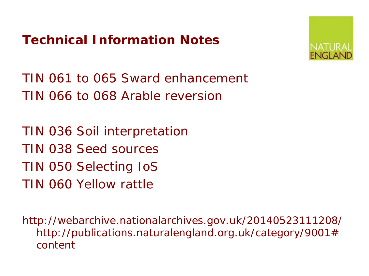# **Technical Information Notes**



TIN 061 to 065 Sward enhancement TIN 066 to 068 Arable reversion

TIN 036 Soil interpretation TIN 038 Seed sources TIN 050 Selecting IoS TIN 060 Yellow rattle

http://webarchive.nationalarchives.gov.uk/20140523111208/ http://publications.naturalengland.org.uk/category/9001# content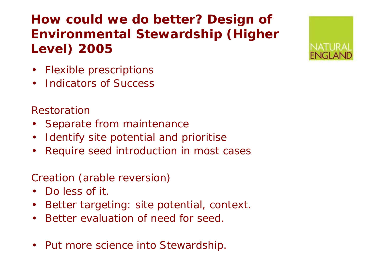# **How could we do better? Design of Environmental Stewardship (Higher Level) 2005**

- Flexible prescriptions
- Indicators of Success

#### *Restoration*

- Separate from maintenance
- Identify site potential and prioritise
- Require seed introduction in most cases

#### *Creation (arable reversion)*

- Do less of it.
- Better targeting: site potential, context.
- Better evaluation of need for seed.
- Put more science into Stewardship.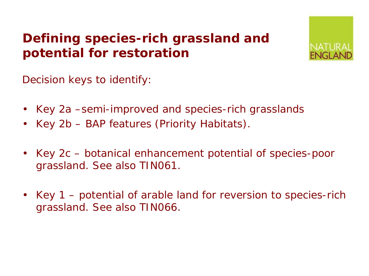# **Defining species-rich grassland and potential for restoration**



Decision keys to identify:

- Key 2a –semi-improved and species-rich grasslands
- Key 2b BAP features (Priority Habitats).
- Key 2c botanical enhancement potential of species-poor grassland. See also TIN061.
- Key 1 potential of arable land for reversion to species-rich grassland. See also TIN066.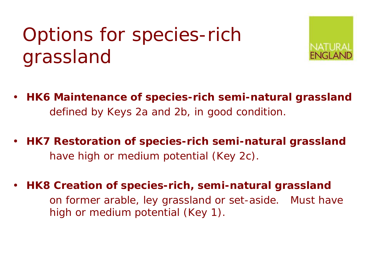# Options for species-rich grassland



- **HK6 Maintenance of species-rich semi-natural grassland**  defined by Keys 2a and 2b, in good condition.
- **HK7 Restoration of species-rich semi-natural grassland**  have *high or medium potential* (Key 2c).
- **HK8 Creation of species-rich, semi-natural grassland** on former arable, ley grassland or set-aside. Must have *high or medium potential* (Key 1).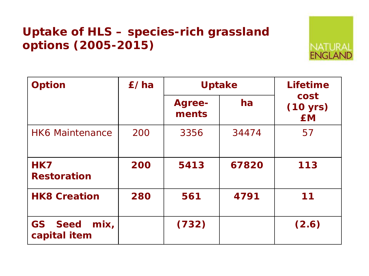## **Uptake of HLS – species-rich grassland options (2005-2015)**

| <b>Option</b>                          | £/ha | <b>Uptake</b>          |       | <b>Lifetime</b>               |
|----------------------------------------|------|------------------------|-------|-------------------------------|
|                                        |      | <b>Agree-</b><br>ments | ha    | cost<br>(10 yrs)<br><b>EM</b> |
| <b>HK6 Maintenance</b>                 | 200  | 3356                   | 34474 | 57                            |
| HK7<br><b>Restoration</b>              | 200  | 5413                   | 67820 | 113                           |
| <b>HK8 Creation</b>                    | 280  | 561                    | 4791  | 11                            |
| <b>GS</b> Seed<br>mix,<br>capital item |      | (732)                  |       | (2.6)                         |

NAT ENGI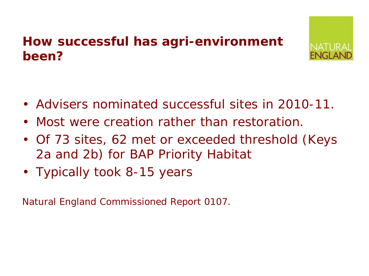# **How successful has agri-environment been?**



- Advisers nominated successful sites in 2010-11.
- Most were creation rather than restoration.
- Of 73 sites, 62 met or exceeded threshold (Keys 2a and 2b) for BAP Priority Habitat
- Typically took 8-15 years

Natural England Commissioned Report 0107.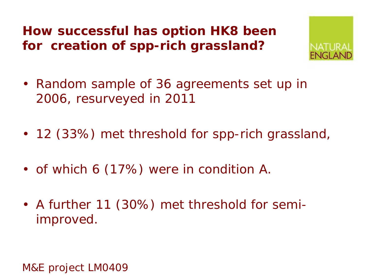**How successful has option HK8 been for creation of spp-rich grassland?**



- Random sample of 36 agreements set up in 2006, resurveyed in 2011
- 12 (33%) met threshold for spp-rich grassland,
- of which 6 (17%) were in condition A.
- A further 11 (30%) met threshold for semiimproved.

M&E project LM0409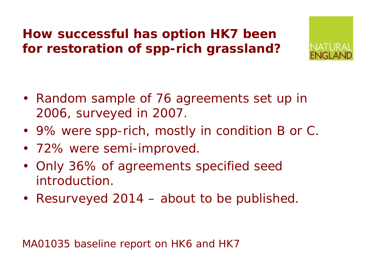# **How successful has option HK7 been for restoration of spp-rich grassland?**



- Random sample of 76 agreements set up in 2006, surveyed in 2007.
- 9% were spp-rich, mostly in condition B or C.
- 72% were semi-improved.
- Only 36% of agreements specified seed introduction.
- Resurveyed 2014 about to be published.

MA01035 baseline report on HK6 and HK7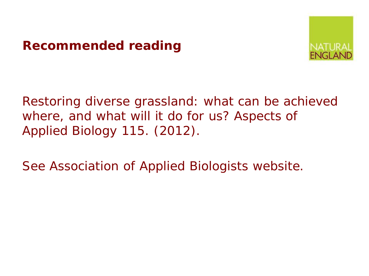### **Recommended reading**



Restoring diverse grassland: what can be achieved where, and what will it do for us? *Aspects of Applied Biology 115*. (2012).

See Association of Applied Biologists website.